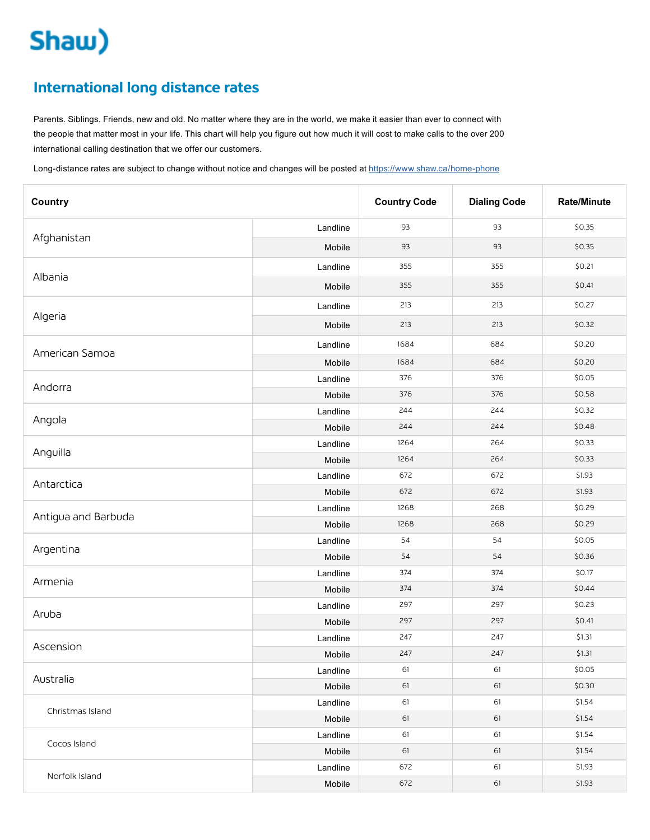## Shaw)

## **International long distance rates**

Parents. Siblings. Friends, new and old. No matter where they are in the world, we make it easier than ever to connect with the people that matter most in your life. This chart will help you figure out how much it will cost to make calls to the over 200 international calling destination that we offer our customers.

Long-distance rates are subject to change without notice and changes will be posted at <https://www.shaw.ca/home-phone>

| Country             |          | <b>Country Code</b> | <b>Dialing Code</b> | <b>Rate/Minute</b> |
|---------------------|----------|---------------------|---------------------|--------------------|
|                     | Landline | 93                  | 93                  | \$0.35             |
| Afghanistan         | Mobile   | 93                  | 93                  | \$0.35             |
|                     | Landline | 355                 | 355                 | \$0.21             |
| Albania             | Mobile   | 355                 | 355                 | \$0.41             |
|                     | Landline | 213                 | 213                 | \$0.27             |
| Algeria             | Mobile   | 213                 | 213                 | \$0.32             |
|                     | Landline | 1684                | 684                 | \$0.20             |
| American Samoa      | Mobile   | 1684                | 684                 | \$0.20             |
|                     | Landline | 376                 | 376                 | \$0.05             |
| Andorra             | Mobile   | 376                 | 376                 | \$0.58             |
|                     | Landline | 244                 | 244                 | \$0.32             |
| Angola              | Mobile   | 244                 | 244                 | \$0.48             |
|                     | Landline | 1264                | 264                 | \$0.33             |
| Anguilla            | Mobile   | 1264                | 264                 | \$0.33             |
|                     | Landline | 672                 | 672                 | \$1.93             |
| Antarctica          | Mobile   | 672                 | 672                 | \$1.93             |
|                     | Landline | 1268                | 268                 | \$0.29             |
| Antigua and Barbuda | Mobile   | 1268                | 268                 | \$0.29             |
|                     | Landline | 54                  | 54                  | \$0.05             |
| Argentina           | Mobile   | 54                  | 54                  | \$0.36             |
|                     | Landline | 374                 | 374                 | \$0.17             |
| Armenia             | Mobile   | 374                 | 374                 | \$0.44             |
|                     | Landline | 297                 | 297                 | \$0.23             |
| Aruba               | Mobile   | 297                 | 297                 | \$0.41             |
|                     | Landline | 247                 | 247                 | \$1.31             |
| Ascension           | Mobile   | 247                 | 247                 | \$1.31             |
|                     | Landline | 61                  | 61                  | \$0.05             |
| Australia           | Mobile   | 61                  | 61                  | \$0.30             |
|                     | Landline | 61                  | 61                  | \$1.54             |
| Christmas Island    | Mobile   | 61                  | 61                  | \$1.54             |
|                     | Landline | 61                  | 61                  | \$1.54             |
| Cocos Island        | Mobile   | 61                  | 61                  | \$1.54             |
|                     | Landline | 672                 | 61                  | \$1.93             |
| Norfolk Island      | Mobile   | 672                 | 61                  | \$1.93             |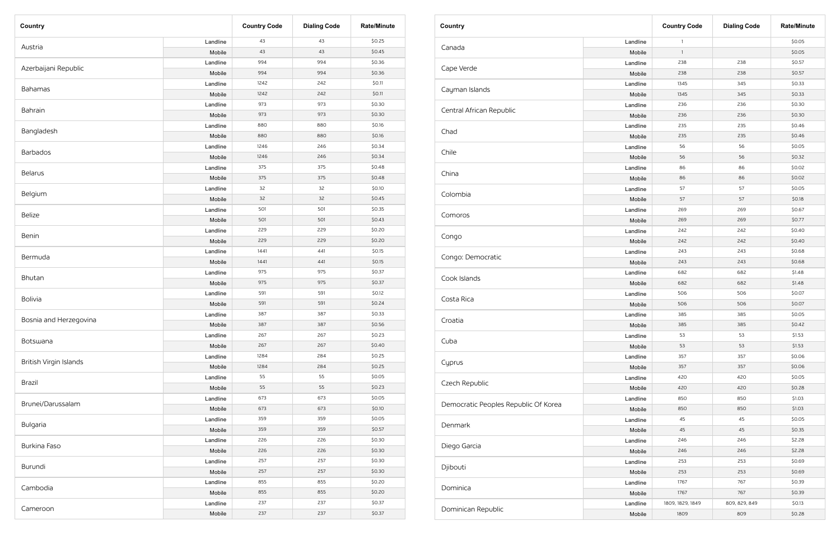| Country                |          | <b>Country Code</b> | <b>Dialing Code</b> | <b>Rate/Minute</b> |
|------------------------|----------|---------------------|---------------------|--------------------|
|                        | Landline | 43                  | 43                  | \$0.25             |
| Austria                | Mobile   | 43                  | 43                  | \$0.45             |
| Azerbaijani Republic   | Landline | 994                 | 994                 | \$0.36             |
|                        | Mobile   | 994                 | 994                 | \$0.36             |
|                        | Landline | 1242                | 242                 | \$0.11             |
| Bahamas                | Mobile   | 1242                | 242                 | \$0.11             |
|                        | Landline | 973                 | 973                 | \$0.30             |
| Bahrain                | Mobile   | 973                 | 973                 | \$0.30             |
|                        | Landline | 880                 | 880                 | \$0.16             |
| Bangladesh             | Mobile   | 880                 | 880                 | \$0.16             |
|                        | Landline | 1246                | 246                 | \$0.34             |
| <b>Barbados</b>        | Mobile   | 1246                | 246                 | \$0.34             |
|                        | Landline | 375                 | 375                 | \$0.48             |
| Belarus                | Mobile   | 375                 | 375                 | \$0.48             |
|                        | Landline | 32                  | 32                  | \$0.10             |
| Belgium                | Mobile   | 32                  | 32                  | \$0.45             |
|                        | Landline | 501                 | 501                 | \$0.35             |
| <b>Belize</b>          | Mobile   | 501                 | 501                 | \$0.43             |
| <b>Benin</b>           | Landline | 229                 | 229                 | \$0.20             |
|                        | Mobile   | 229                 | 229                 | \$0.20             |
|                        | Landline | 1441                | 441                 | \$0.15             |
| Bermuda                | Mobile   | 1441                | 441                 | \$0.15             |
| Bhutan                 | Landline | 975                 | 975                 | \$0.37             |
|                        | Mobile   | 975                 | 975                 | \$0.37             |
|                        | Landline | 591                 | 591                 | \$0.12             |
| Bolivia                | Mobile   | 591                 | 591                 | \$0.24             |
|                        | Landline | 387                 | 387                 | \$0.33             |
| Bosnia and Herzegovina | Mobile   | 387                 | 387                 | \$0.56             |
|                        | Landline | 267                 | 267                 | \$0.23             |
| Botswana               | Mobile   | 267                 | 267                 | \$0.40             |
|                        | Landline | 1284                | 284                 | \$0.25             |
| British Virgin Islands | Mobile   | 1284                | 284                 | \$0.25             |
|                        | Landline | 55                  | 55                  | \$0.05             |
| Brazil                 | Mobile   | 55                  | 55                  | \$0.23             |
|                        | Landline | 673                 | 673                 | \$0.05             |
| Brunei/Darussalam      | Mobile   | 673                 | 673                 | \$0.10             |
|                        | Landline | 359                 | 359                 | \$0.05             |
| Bulgaria               | Mobile   | 359                 | 359                 | \$0.57             |
|                        | Landline | 226                 | 226                 | \$0.30             |
| Burkina Faso           | Mobile   | 226                 | 226                 | \$0.30             |
|                        | Landline | 257                 | 257                 | \$0.30             |
| Burundi                | Mobile   | 257                 | 257                 | \$0.30             |
|                        | Landline | 855                 | 855                 | \$0.20             |
| Cambodia               | Mobile   | 855                 | 855                 | \$0.20             |
|                        | Landline | 237                 | 237                 | \$0.37             |
| Cameroon               | Mobile   | 237                 | 237                 | \$0.37             |

| Country                              |          | <b>Country Code</b> | <b>Dialing Code</b> | <b>Rate/Minute</b> |
|--------------------------------------|----------|---------------------|---------------------|--------------------|
|                                      | Landline | $\mathbf{1}$        |                     | \$0.05             |
| Canada                               | Mobile   | $\mathbf{1}$        |                     | \$0.05             |
|                                      | Landline | 238                 | 238                 | \$0.57             |
| Cape Verde                           | Mobile   | 238                 | 238                 | \$0.57             |
|                                      | Landline | 1345                | 345                 | \$0.33             |
| Cayman Islands                       | Mobile   | 1345                | 345                 | \$0.33             |
|                                      | Landline | 236                 | 236                 | \$0.30             |
| Central African Republic             | Mobile   | 236                 | 236                 | \$0.30             |
|                                      | Landline | 235                 | 235                 | \$0.46             |
| Chad                                 | Mobile   | 235                 | 235                 | \$0.46             |
|                                      | Landline | 56                  | 56                  | \$0.05             |
| Chile                                | Mobile   | 56                  | 56                  | \$0.32             |
|                                      | Landline | 86                  | 86                  | \$0.02             |
| China                                | Mobile   | 86                  | 86                  | \$0.02             |
|                                      | Landline | 57                  | 57                  | \$0.05             |
| Colombia                             | Mobile   | 57                  | 57                  | \$0.18             |
|                                      | Landline | 269                 | 269                 | \$0.67             |
| Comoros                              | Mobile   | 269                 | 269                 | \$0.77             |
|                                      | Landline | 242                 | 242                 | \$0.40             |
| Congo                                | Mobile   | 242                 | 242                 | \$0.40             |
|                                      | Landline | 243                 | 243                 | \$0.68             |
| Congo: Democratic                    | Mobile   | 243                 | 243                 | \$0.68             |
| Cook Islands                         | Landline | 682                 | 682                 | \$1.48             |
|                                      | Mobile   | 682                 | 682                 | \$1.48             |
|                                      | Landline | 506                 | 506                 | \$0.07             |
| Costa Rica                           | Mobile   | 506                 | 506                 | \$0.07             |
|                                      | Landline | 385                 | 385                 | \$0.05             |
| Croatia                              | Mobile   | 385                 | 385                 | \$0.42             |
|                                      | Landline | 53                  | 53                  | \$1.53             |
| Cuba                                 | Mobile   | 53                  | 53                  | \$1.53             |
|                                      | Landline | 357                 | 357                 | \$0.06             |
| Cyprus                               | Mobile   | 357                 | 357                 | \$0.06             |
|                                      | Landline | 420                 | 420                 | \$0.05             |
| Czech Republic                       | Mobile   | 420                 | 420                 | \$0.28             |
|                                      | Landline | 850                 | 850                 | \$1.03             |
| Democratic Peoples Republic Of Korea | Mobile   | 850                 | 850                 | \$1.03             |
|                                      | Landline | 45                  | 45                  | \$0.05             |
| Denmark                              | Mobile   | 45                  | 45                  | \$0.35             |
|                                      | Landline | 246                 | 246                 | \$2.28             |
| Diego Garcia                         | Mobile   | 246                 | 246                 | \$2.28             |
|                                      | Landline | 253                 | 253                 | \$0.69             |
| Djibouti                             | Mobile   | 253                 | 253                 | \$0.69             |
|                                      | Landline | 1767                | 767                 | \$0.39             |
| Dominica                             | Mobile   | 1767                | 767                 | \$0.39             |
|                                      | Landline | 1809, 1829, 1849    | 809, 829, 849       | \$0.13             |
| Dominican Republic                   | Mobile   | 1809                | 809                 | \$0.28             |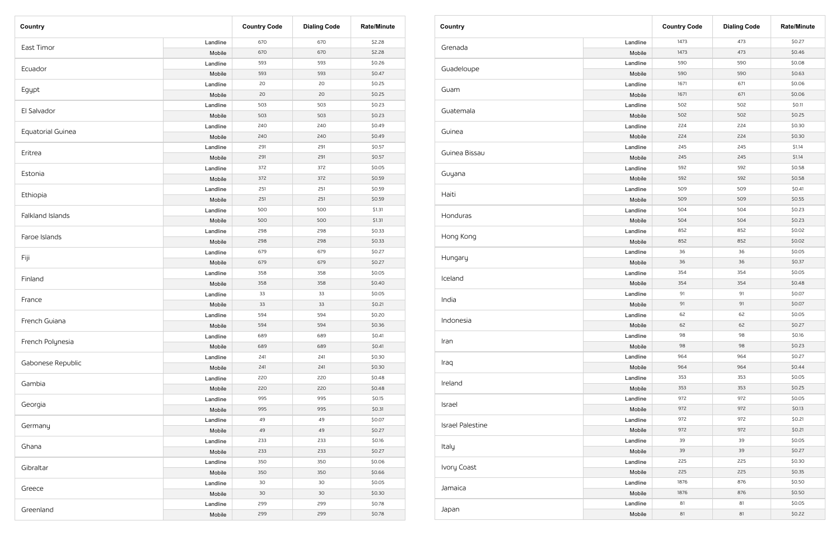| Country           |          | <b>Country Code</b> | <b>Dialing Code</b> | <b>Rate/Minute</b> |
|-------------------|----------|---------------------|---------------------|--------------------|
|                   | Landline | 670                 | 670                 | \$2.28             |
| East Timor        | Mobile   | 670                 | 670                 | \$2.28             |
|                   | Landline | 593                 | 593                 | \$0.26             |
| Ecuador           | Mobile   | 593                 | 593                 | \$0.47             |
|                   | Landline | 20                  | 20                  | \$0.25             |
| Egypt             | Mobile   | 20                  | 20                  | \$0.25             |
|                   | Landline | 503                 | 503                 | \$0.23             |
| El Salvador       | Mobile   | 503                 | 503                 | \$0.23             |
|                   | Landline | 240                 | 240                 | \$0.49             |
| Equatorial Guinea | Mobile   | 240                 | 240                 | \$0.49             |
|                   | Landline | 291                 | 291                 | \$0.57             |
| Eritrea           | Mobile   | 291                 | 291                 | \$0.57             |
|                   | Landline | 372                 | 372                 | \$0.05             |
| Estonia           | Mobile   | 372                 | 372                 | \$0.59             |
|                   | Landline | 251                 | 251                 | \$0.59             |
| Ethiopia          | Mobile   | 251                 | 251                 | \$0.59             |
|                   | Landline | 500                 | 500                 | \$1.31             |
| Falkland Islands  | Mobile   | 500                 | 500                 | \$1.31             |
| Faroe Islands     | Landline | 298                 | 298                 | \$0.33             |
|                   | Mobile   | 298                 | 298                 | \$0.33             |
| Fiji              | Landline | 679                 | 679                 | \$0.27             |
|                   | Mobile   | 679                 | 679                 | \$0.27             |
| Finland           | Landline | 358                 | 358                 | \$0.05             |
|                   | Mobile   | 358                 | 358                 | \$0.40             |
|                   | Landline | 33                  | 33                  | \$0.05             |
| France            | Mobile   | 33                  | 33                  | \$0.21             |
|                   | Landline | 594                 | 594                 | \$0.20             |
| French Guiana     | Mobile   | 594                 | 594                 | \$0.36             |
|                   | Landline | 689                 | 689                 | \$0.41             |
| French Polynesia  | Mobile   | 689                 | 689                 | \$0.41             |
|                   | Landline | 241                 | 241                 | \$0.30             |
| Gabonese Republic | Mobile   | 241                 | 241                 | \$0.30             |
|                   | Landline | 220                 | 220                 | \$0.48             |
| Gambia            | Mobile   | 220                 | 220                 | \$0.48             |
|                   | Landline | 995                 | 995                 | \$0.15             |
| Georgia           | Mobile   | 995                 | 995                 | \$0.31             |
|                   | Landline | 49                  | 49                  | \$0.07             |
| Germany           | Mobile   | 49                  | 49                  | \$0.27             |
|                   | Landline | 233                 | 233                 | \$0.16             |
| Ghana             | Mobile   | 233                 | 233                 | \$0.27             |
|                   | Landline | 350                 | 350                 | \$0.06             |
| Gibraltar         | Mobile   | 350                 | 350                 | \$0.66             |
|                   | Landline | 30                  | 30                  | \$0.05             |
| Greece            | Mobile   | 30                  | 30                  | \$0.30             |
|                   | Landline | 299                 | 299                 | \$0.78             |
| Greenland         | Mobile   | 299                 | 299                 | \$0.78             |

| Country                 |          | <b>Country Code</b> | <b>Dialing Code</b> | <b>Rate/Minute</b> |
|-------------------------|----------|---------------------|---------------------|--------------------|
| Grenada                 | Landline | 1473                | 473                 | \$0.27             |
|                         | Mobile   | 1473                | 473                 | \$0.46             |
|                         | Landline | 590                 | 590                 | \$0.08             |
| Guadeloupe              | Mobile   | 590                 | 590                 | \$0.63             |
|                         | Landline | 1671                | 671                 | \$0.06             |
| Guam                    | Mobile   | 1671                | 671                 | \$0.06             |
|                         | Landline | 502                 | 502                 | \$0.11             |
| Guatemala               | Mobile   | 502                 | 502                 | \$0.25             |
|                         | Landline | 224                 | 224                 | \$0.30             |
| Guinea                  | Mobile   | 224                 | 224                 | \$0.30             |
|                         | Landline | 245                 | 245                 | \$1.14             |
| Guinea Bissau           | Mobile   | 245                 | 245                 | \$1.14             |
|                         | Landline | 592                 | 592                 | \$0.58             |
| Guyana                  | Mobile   | 592                 | 592                 | \$0.58             |
|                         | Landline | 509                 | 509                 | \$0.41             |
| Haiti                   | Mobile   | 509                 | 509                 | \$0.55             |
|                         | Landline | 504                 | 504                 | \$0.23             |
| Honduras                | Mobile   | 504                 | 504                 | \$0.23             |
| Hong Kong               | Landline | 852                 | 852                 | \$0.02             |
|                         | Mobile   | 852                 | 852                 | \$0.02             |
|                         | Landline | 36                  | 36                  | \$0.05             |
| Hungary                 | Mobile   | 36                  | 36                  | \$0.37             |
|                         | Landline | 354                 | 354                 | \$0.05             |
| Iceland                 | Mobile   | 354                 | 354                 | \$0.48             |
|                         | Landline | 91                  | 91                  | \$0.07             |
| India                   | Mobile   | 91                  | 91                  | \$0.07             |
|                         | Landline | 62                  | 62                  | \$0.05             |
| Indonesia               | Mobile   | 62                  | 62                  | \$0.27             |
|                         | Landline | 98                  | 98                  | \$0.16             |
| Iran                    | Mobile   | 98                  | 98                  | \$0.23             |
|                         | Landline | 964                 | 964                 | \$0.27             |
| Iraq                    | Mobile   | 964                 | 964                 | \$0.44             |
|                         | Landline | 353                 | 353                 | \$0.05             |
| Ireland                 | Mobile   | 353                 | 353                 | \$0.25             |
|                         | Landline | 972                 | 972                 | \$0.05             |
| Israel                  | Mobile   | 972                 | 972                 | \$0.13             |
|                         | Landline | 972                 | 972                 | \$0.21             |
| <b>Israel Palestine</b> | Mobile   | 972                 | 972                 | \$0.21             |
|                         | Landline | 39                  | 39                  | \$0.05             |
| Italy                   | Mobile   | 39                  | 39                  | \$0.27             |
|                         | Landline | 225                 | 225                 | \$0.30             |
| Ivory Coast             | Mobile   | 225                 | 225                 | \$0.35             |
|                         | Landline | 1876                | 876                 | \$0.50             |
| Jamaica                 | Mobile   | 1876                | 876                 | \$0.50             |
|                         | Landline | 81                  | 81                  | \$0.05             |
| Japan                   | Mobile   | 81                  | 81                  | \$0.22             |
|                         |          |                     |                     |                    |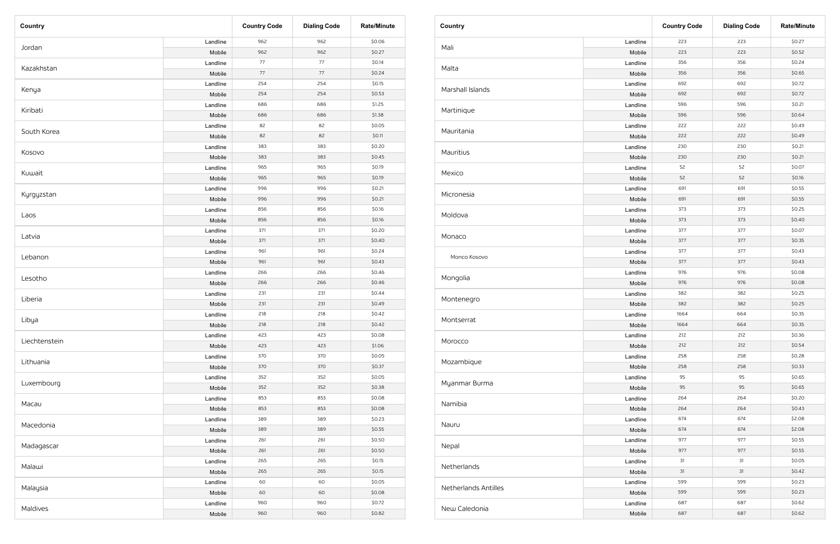| Country       |          | <b>Country Code</b> | <b>Dialing Code</b> | <b>Rate/Minute</b> |
|---------------|----------|---------------------|---------------------|--------------------|
|               | Landline | 962                 | 962                 | \$0.06             |
| Jordan        | Mobile   | 962                 | 962                 | \$0.27             |
| Kazakhstan    | Landline | 77                  | 77                  | \$0.14             |
|               | Mobile   | 77                  | 77                  | \$0.24             |
|               | Landline | 254                 | 254                 | \$0.15             |
| Kenya         | Mobile   | 254                 | 254                 | \$0.53             |
|               | Landline | 686                 | 686                 | \$1.25             |
| Kiribati      | Mobile   | 686                 | 686                 | \$1.38             |
| South Korea   | Landline | 82                  | 82                  | \$0.05             |
|               | Mobile   | 82                  | 82                  | \$0.11             |
|               | Landline | 383                 | 383                 | \$0.20             |
| Kosovo        | Mobile   | 383                 | 383                 | \$0.45             |
|               | Landline | 965                 | 965                 | \$0.19             |
| Kuwait        | Mobile   | 965                 | 965                 | \$0.19             |
|               | Landline | 996                 | 996                 | \$0.21             |
| Kyrgyzstan    | Mobile   | 996                 | 996                 | \$0.21             |
|               | Landline | 856                 | 856                 | \$0.16             |
| Laos          | Mobile   | 856                 | 856                 | \$0.16             |
| Latvia        | Landline | 371                 | 371                 | \$0.20             |
|               | Mobile   | 371                 | 371                 | \$0.40             |
|               | Landline | 961                 | 961                 | \$0.24             |
| Lebanon       | Mobile   | 961                 | 961                 | \$0.43             |
|               | Landline | 266                 | 266                 | \$0.46             |
| Lesotho       | Mobile   | 266                 | 266                 | \$0.46             |
|               | Landline | 231                 | 231                 | \$0.44             |
| Liberia       | Mobile   | 231                 | 231                 | \$0.49             |
|               | Landline | 218                 | 218                 | \$0.42             |
| Libya         | Mobile   | 218                 | 218                 | \$0.42             |
|               | Landline | 423                 | 423                 | \$0.08             |
| Liechtenstein | Mobile   | 423                 | 423                 | \$1.06             |
|               | Landline | 370                 | 370                 | \$0.05             |
| Lithuania     | Mobile   | 370                 | 370                 | \$0.37             |
|               | Landline | 352                 | 352                 | \$0.05             |
| Luxembourg    | Mobile   | 352                 | 352                 | \$0.38             |
|               | Landline | 853                 | 853                 | \$0.08             |
| Масаи         | Mobile   | 853                 | 853                 | \$0.08             |
|               | Landline | 389                 | 389                 | \$0.23             |
| Macedonia     | Mobile   | 389                 | 389                 | \$0.55             |
|               | Landline | 261                 | 261                 | \$0.50             |
| Madagascar    | Mobile   | 261                 | 261                 | \$0.50             |
|               | Landline | 265                 | 265                 | \$0.15             |
| Malawi        | Mobile   | 265                 | 265                 | \$0.15             |
|               | Landline | 60                  | 60                  | \$0.05             |
| Malaysia      | Mobile   | 60                  | 60                  | \$0.08             |
|               | Landline | 960                 | 960                 | \$0.72             |
| Maldives      | Mobile   | 960                 | 960                 | \$0.82             |

| <b>Country</b>       |          | <b>Country Code</b> | <b>Dialing Code</b> | <b>Rate/Minute</b> |
|----------------------|----------|---------------------|---------------------|--------------------|
|                      | Landline | 223                 | 223                 | \$0.27             |
| Mali                 | Mobile   | 223                 | 223                 | \$0.52             |
|                      | Landline | 356                 | 356                 | \$0.24             |
| Malta                | Mobile   | 356                 | 356                 | \$0.65             |
|                      | Landline | 692                 | 692                 | \$0.72             |
| Marshall Islands     | Mobile   | 692                 | 692                 | \$0.72             |
|                      | Landline | 596                 | 596                 | \$0.21             |
| Martinique           | Mobile   | 596                 | 596                 | \$0.64             |
|                      | Landline | 222                 | 222                 | \$0.49             |
| Mauritania           | Mobile   | 222                 | 222                 | \$0.49             |
|                      | Landline | 230                 | 230                 | \$0.21             |
| Mauritius            | Mobile   | 230                 | 230                 | \$0.21             |
|                      | Landline | 52                  | 52                  | \$0.07             |
| Mexico               | Mobile   | 52                  | 52                  | \$0.16             |
|                      | Landline | 691                 | 691                 | \$0.55             |
| Micronesia           | Mobile   | 691                 | 691                 | \$0.55             |
|                      | Landline | 373                 | 373                 | \$0.25             |
| Moldova              | Mobile   | 373                 | 373                 | \$0.40             |
| Monaco               | Landline | 377                 | 377                 | \$0.07             |
|                      | Mobile   | 377                 | 377                 | \$0.35             |
|                      | Landline | 377                 | 377                 | \$0.43             |
| Monco Kosovo         | Mobile   | 377                 | 377                 | \$0.43             |
| Mongolia             | Landline | 976                 | 976                 | \$0.08             |
|                      | Mobile   | 976                 | 976                 | \$0.08             |
|                      | Landline | 382                 | 382                 | \$0.25             |
| Montenegro           | Mobile   | 382                 | 382                 | \$0.25             |
|                      | Landline | 1664                | 664                 | \$0.35             |
| Montserrat           | Mobile   | 1664                | 664                 | \$0.35             |
|                      | Landline | 212                 | 212                 | \$0.36             |
| Morocco              | Mobile   | 212                 | 212                 | \$0.54             |
|                      | Landline | 258                 | 258                 | \$0.28             |
| Mozambique           | Mobile   | 258                 | 258                 | \$0.33             |
|                      | Landline | 95                  | 95                  | \$0.65             |
| Myanmar Burma        | Mobile   | 95                  | 95                  | \$0.65             |
|                      | Landline | 264                 | 264                 | \$0.20             |
| Namibia              | Mobile   | 264                 | 264                 | \$0.43             |
|                      | Landline | 674                 | 674                 | \$2.08             |
| Nauru                | Mobile   | 674                 | 674                 | \$2.08             |
|                      | Landline | 977                 | 977                 | \$0.55             |
| Nepal                | Mobile   | 977                 | 977                 | \$0.55             |
|                      | Landline | 31                  | 31                  | \$0.05             |
| Netherlands          | Mobile   | 31                  | 31                  | \$0.42             |
|                      | Landline | 599                 | 599                 | \$0.23             |
| Netherlands Antilles | Mobile   | 599                 | 599                 | \$0.23             |
|                      | Landline | 687                 | 687                 | \$0.62             |
| New Caledonia        | Mobile   | 687                 | 687                 | \$0.62             |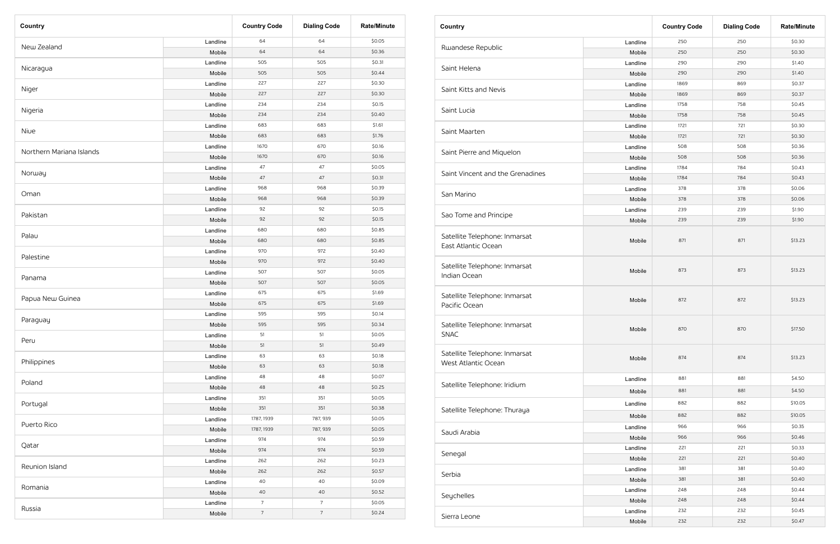| Country                  |          | <b>Country Code</b> | <b>Dialing Code</b> | <b>Rate/Minute</b> |
|--------------------------|----------|---------------------|---------------------|--------------------|
|                          | Landline | 64                  | 64                  | \$0.05             |
| New Zealand              | Mobile   | 64                  | 64                  | \$0.36             |
|                          | Landline | 505                 | 505                 | \$0.31             |
| Nicaragua                | Mobile   | 505                 | 505                 | \$0.44             |
|                          | Landline | 227                 | 227                 | \$0.30             |
| Niger                    | Mobile   | 227                 | 227                 | \$0.30             |
|                          | Landline | 234                 | 234                 | \$0.15             |
| Nigeria                  | Mobile   | 234                 | 234                 | \$0.40             |
|                          | Landline | 683                 | 683                 | \$1.61             |
| Niue                     | Mobile   | 683                 | 683                 | \$1.76             |
|                          | Landline | 1670                | 670                 | \$0.16             |
| Northern Mariana Islands | Mobile   | 1670                | 670                 | \$0.16             |
|                          | Landline | 47                  | 47                  | \$0.05             |
| Norway                   | Mobile   | 47                  | 47                  | \$0.31             |
|                          | Landline | 968                 | 968                 | \$0.39             |
| Oman                     | Mobile   | 968                 | 968                 | \$0.39             |
| Pakistan                 | Landline | 92                  | 92                  | \$0.15             |
|                          | Mobile   | 92                  | 92                  | \$0.15             |
| Palau                    | Landline | 680                 | 680                 | \$0.85             |
|                          | Mobile   | 680                 | 680                 | \$0.85             |
|                          | Landline | 970                 | 972                 | \$0.40             |
| Palestine                | Mobile   | 970                 | 972                 | \$0.40             |
|                          | Landline | 507                 | 507                 | \$0.05             |
| Panama                   | Mobile   | 507                 | 507                 | \$0.05             |
|                          | Landline | 675                 | 675                 | \$1.69             |
| Papua New Guinea         | Mobile   | 675                 | 675                 | \$1.69             |
|                          | Landline | 595                 | 595                 | \$0.14             |
| Paraguay                 | Mobile   | 595                 | 595                 | \$0.34             |
|                          | Landline | 51                  | 51                  | \$0.05             |
| Peru                     | Mobile   | 51                  | 51                  | \$0.49             |
|                          | Landline | 63                  | 63                  | \$0.18             |
| Philippines              | Mobile   | 63                  | 63                  | \$0.18             |
|                          | Landline | 48                  | 48                  | \$0.07             |
| Poland                   | Mobile   | 48                  | 48                  | \$0.25             |
|                          | Landline | 351                 | 351                 | \$0.05             |
| Portugal                 | Mobile   | 351                 | 351                 | \$0.38             |
|                          | Landline | 1787, 1939          | 787, 939            | \$0.05             |
| Puerto Rico              | Mobile   | 1787, 1939          | 787, 939            | \$0.05             |
|                          | Landline | 974                 | 974                 | \$0.59             |
| Qatar                    | Mobile   | 974                 | 974                 | \$0.59             |
|                          | Landline | 262                 | 262                 | \$0.23             |
| Reunion Island           | Mobile   | 262                 | 262                 | \$0.57             |
|                          | Landline | 40                  | 40                  | \$0.09             |
| Romania                  | Mobile   | 40                  | 40                  | \$0.52             |
|                          | Landline | $\overline{7}$      | $\overline{7}$      | \$0.05             |
| Russia                   | Mobile   | $\overline{7}$      | $\sqrt{ }$          | \$0.24             |

| Country                                              |          | <b>Country Code</b> | <b>Dialing Code</b> | <b>Rate/Minute</b> |
|------------------------------------------------------|----------|---------------------|---------------------|--------------------|
|                                                      | Landline | 250                 | 250                 | \$0.30             |
| Rwandese Republic                                    | Mobile   | 250                 | 250                 | \$0.30             |
|                                                      | Landline | 290                 | 290                 | \$1.40             |
| Saint Helena                                         | Mobile   | 290                 | 290                 | \$1.40             |
|                                                      | Landline | 1869                | 869                 | \$0.37             |
| Saint Kitts and Nevis                                | Mobile   | 1869                | 869                 | \$0.37             |
|                                                      | Landline | 1758                | 758                 | \$0.45             |
| Saint Lucia                                          | Mobile   | 1758                | 758                 | \$0.45             |
|                                                      | Landline | 1721                | 721                 | \$0.30             |
| Saint Maarten                                        | Mobile   | 1721                | 721                 | \$0.30             |
|                                                      | Landline | 508                 | 508                 | \$0.36             |
| Saint Pierre and Miquelon                            | Mobile   | 508                 | 508                 | \$0.36             |
|                                                      | Landline | 1784                | 784                 | \$0.43             |
| Saint Vincent and the Grenadines                     | Mobile   | 1784                | 784                 | \$0.43             |
|                                                      | Landline | 378                 | 378                 | \$0.06             |
| San Marino                                           | Mobile   | 378                 | 378                 | \$0.06             |
|                                                      | Landline | 239                 | 239                 | \$1.90             |
| Sao Tome and Principe                                | Mobile   | 239                 | 239                 | \$1.90             |
| Satellite Telephone: Inmarsat<br>East Atlantic Ocean | Mobile   | 871                 | 871                 | \$13.23            |
| Satellite Telephone: Inmarsat<br>Indian Ocean        | Mobile   | 873                 | 873                 | \$13.23            |
| Satellite Telephone: Inmarsat<br>Pacific Ocean       | Mobile   | 872                 | 872                 | \$13.23            |
| Satellite Telephone: Inmarsat<br><b>SNAC</b>         | Mobile   | 870                 | 870                 | \$17.50            |
| Satellite Telephone: Inmarsat<br>West Atlantic Ocean | Mobile   | 874                 | 874                 | \$13.23            |
|                                                      | Landline | 881                 | 881                 | \$4.50             |
| Satellite Telephone: Iridium                         | Mobile   | 881                 | 881                 | \$4.50             |
|                                                      | Landline | 882                 | 882                 | \$10.05            |
| Satellite Telephone: Thuraya                         | Mobile   | 882                 | 882                 | \$10.05            |
|                                                      | Landline | 966                 | 966                 | \$0.35             |
| Saudi Arabia                                         |          | 966                 | 966                 | \$0.46             |
|                                                      | Mobile   | 221                 | 221                 | \$0.33             |
| Senegal                                              | Landline | 221                 | 221                 | \$0.40             |
|                                                      | Mobile   | 381                 | 381                 | \$0.40             |
| Serbia                                               | Landline |                     | 381                 | \$0.40             |
|                                                      | Mobile   | 381                 |                     |                    |
| Seychelles                                           | Landline | 248                 | 248                 | \$0.44             |
|                                                      | Mobile   | 248                 | 248                 | \$0.44             |
| Sierra Leone                                         | Landline | 232                 | 232                 | \$0.45             |
|                                                      | Mobile   | 232                 | 232                 | \$0.47             |

## Rwandese Republic Saint Helena Saint Kitts and Nevis Saint Lucia Saint Maarten Saint Pierre and Miquelon Saint Vincent and the Grenadines San Marino Sao Tome and Principe Satellite Telephone: Inmarsat East Atlantic Ocean Satellite Telephone: Inmarsat Indian Ocean Satellite Telephone: Inmarsat Pacific Ocean Satellite Telephone: Inmarsat SNAC Satellite Telephone: Inmarsat West Atlantic Ocean Satellite Telephone: Iridium Satellite Telephone: Thuraya Saudi Arabia Senegal Serbia Seychelles Sierra Leone